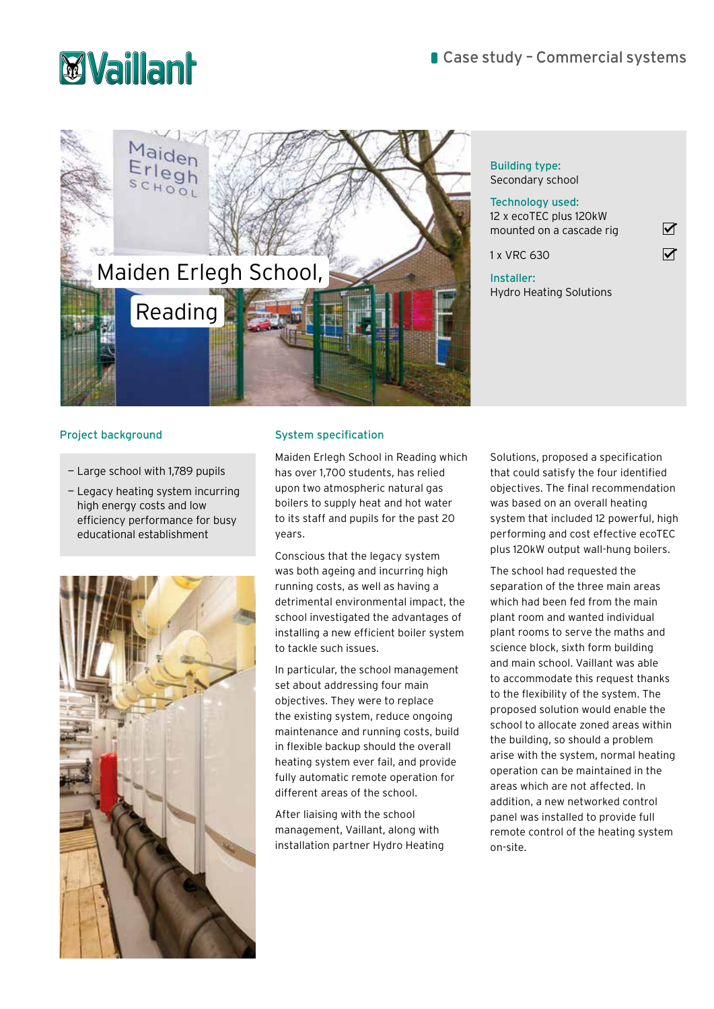



Building type: Secondary school

| Technology used:<br>12 x ecoTEC plus 120kW<br>mounted on a cascade rig |  |
|------------------------------------------------------------------------|--|
| 1 x VRC 630                                                            |  |
| Installer:<br><b>Hydro Heating Solutions</b>                           |  |

# Project background System specification

- Large school with 1,789 pupils
- Legacy heating system incurring high energy costs and low efficiency performance for busy educational establishment



Maiden Erlegh School in Reading which has over 1,700 students, has relied upon two atmospheric natural gas boilers to supply heat and hot water to its staff and pupils for the past 20 years.

Conscious that the legacy system was both ageing and incurring high running costs, as well as having a detrimental environmental impact, the school investigated the advantages of installing a new efficient boiler system to tackle such issues.

In particular, the school management set about addressing four main objectives. They were to replace the existing system, reduce ongoing maintenance and running costs, build in flexible backup should the overall heating system ever fail, and provide fully automatic remote operation for different areas of the school.

After liaising with the school management, Vaillant, along with installation partner Hydro Heating Solutions, proposed a specification that could satisfy the four identified objectives. The final recommendation was based on an overall heating system that included 12 powerful, high performing and cost effective ecoTEC plus 120kW output wall-hung boilers.

The school had requested the separation of the three main areas which had been fed from the main plant room and wanted individual plant rooms to serve the maths and science block, sixth form building and main school. Vaillant was able to accommodate this request thanks to the flexibility of the system. The proposed solution would enable the school to allocate zoned areas within the building, so should a problem arise with the system, normal heating operation can be maintained in the areas which are not affected. In addition, a new networked control panel was installed to provide full remote control of the heating system on-site.